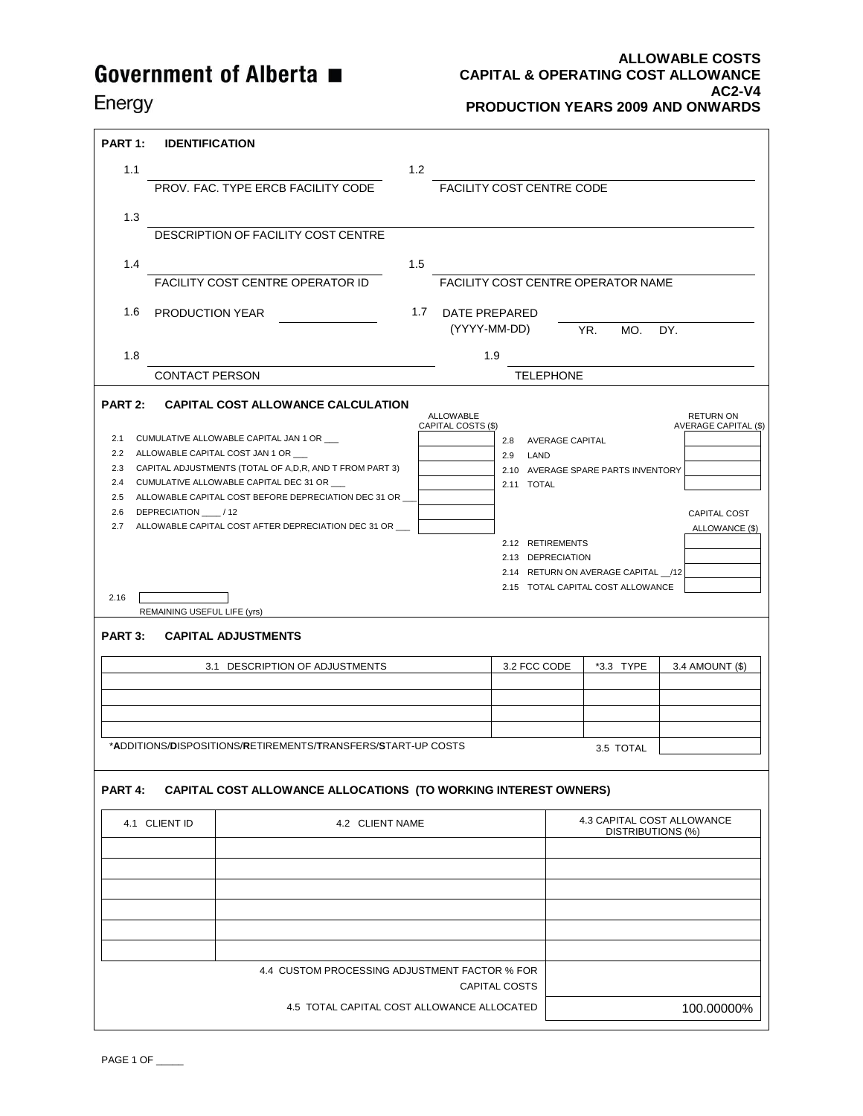Energy

#### **ALLOWABLE COSTS CAPITAL & OPERATING COST ALLOWANCE AC2-V4 PRODUCTION YEARS 2009 AND ONWARDS**

| <b>PART 1:</b>                                                | <b>IDENTIFICATION</b>                                |                                                                                                                                                                                                                                                                                                                                                                                                                   |                 |                                                      |                                                                                                       |                                                                                                                              |                                                                                                             |
|---------------------------------------------------------------|------------------------------------------------------|-------------------------------------------------------------------------------------------------------------------------------------------------------------------------------------------------------------------------------------------------------------------------------------------------------------------------------------------------------------------------------------------------------------------|-----------------|------------------------------------------------------|-------------------------------------------------------------------------------------------------------|------------------------------------------------------------------------------------------------------------------------------|-------------------------------------------------------------------------------------------------------------|
| 1.1                                                           |                                                      |                                                                                                                                                                                                                                                                                                                                                                                                                   | 1.2             |                                                      |                                                                                                       |                                                                                                                              |                                                                                                             |
|                                                               |                                                      | PROV. FAC. TYPE ERCB FACILITY CODE                                                                                                                                                                                                                                                                                                                                                                                |                 | FACILITY COST CENTRE CODE                            |                                                                                                       |                                                                                                                              |                                                                                                             |
| 1.3                                                           |                                                      |                                                                                                                                                                                                                                                                                                                                                                                                                   |                 |                                                      |                                                                                                       |                                                                                                                              |                                                                                                             |
|                                                               |                                                      | DESCRIPTION OF FACILITY COST CENTRE                                                                                                                                                                                                                                                                                                                                                                               |                 |                                                      |                                                                                                       |                                                                                                                              |                                                                                                             |
| 1.4                                                           |                                                      |                                                                                                                                                                                                                                                                                                                                                                                                                   | 1.5             |                                                      |                                                                                                       |                                                                                                                              |                                                                                                             |
|                                                               |                                                      | <b>FACILITY COST CENTRE OPERATOR ID</b>                                                                                                                                                                                                                                                                                                                                                                           |                 |                                                      |                                                                                                       | <b>FACILITY COST CENTRE OPERATOR NAME</b>                                                                                    |                                                                                                             |
| 1.6                                                           | <b>PRODUCTION YEAR</b>                               |                                                                                                                                                                                                                                                                                                                                                                                                                   | 1.7             | DATE PREPARED                                        |                                                                                                       |                                                                                                                              |                                                                                                             |
|                                                               |                                                      |                                                                                                                                                                                                                                                                                                                                                                                                                   |                 | (YYYY-MM-DD)                                         |                                                                                                       | YR.<br>MO.                                                                                                                   | DY.                                                                                                         |
| 1.8                                                           |                                                      |                                                                                                                                                                                                                                                                                                                                                                                                                   |                 | 1.9                                                  |                                                                                                       |                                                                                                                              |                                                                                                             |
|                                                               | <b>CONTACT PERSON</b>                                |                                                                                                                                                                                                                                                                                                                                                                                                                   |                 |                                                      | <b>TELEPHONE</b>                                                                                      |                                                                                                                              |                                                                                                             |
| <b>PART 2:</b><br>2.1<br>2.3<br>2.4<br>2.7<br>2.16<br>PART 3: | 2.6 DEPRECIATION / 12<br>REMAINING USEFUL LIFE (yrs) | <b>CAPITAL COST ALLOWANCE CALCULATION</b><br>CUMULATIVE ALLOWABLE CAPITAL JAN 1 OR<br>2.2 ALLOWABLE CAPITAL COST JAN 1 OR<br>CAPITAL ADJUSTMENTS (TOTAL OF A,D,R, AND T FROM PART 3)<br>CUMULATIVE ALLOWABLE CAPITAL DEC 31 OR<br>2.5 ALLOWABLE CAPITAL COST BEFORE DEPRECIATION DEC 31 OR<br>ALLOWABLE CAPITAL COST AFTER DEPRECIATION DEC 31 OR<br><b>CAPITAL ADJUSTMENTS</b><br>3.1 DESCRIPTION OF ADJUSTMENTS |                 | <b>ALLOWABLE</b><br>CAPITAL COSTS (\$)<br>2.8<br>2.9 | <b>AVERAGE CAPITAL</b><br>LAND<br>2.11 TOTAL<br>2.12 RETIREMENTS<br>2.13 DEPRECIATION<br>3.2 FCC CODE | 2.10 AVERAGE SPARE PARTS INVENTORY<br>2.14 RETURN ON AVERAGE CAPITAL __/12<br>2.15 TOTAL CAPITAL COST ALLOWANCE<br>*3.3 TYPE | <b>RETURN ON</b><br><b>AVERAGE CAPITAL (\$)</b><br><b>CAPITAL COST</b><br>ALLOWANCE (\$)<br>3.4 AMOUNT (\$) |
|                                                               |                                                      | *ADDITIONS/DISPOSITIONS/RETIREMENTS/TRANSFERS/ <b>S</b> TART-UP COSTS                                                                                                                                                                                                                                                                                                                                             |                 |                                                      |                                                                                                       | 3.5 TOTAL                                                                                                                    |                                                                                                             |
| PART 4:                                                       |                                                      | <b>CAPITAL COST ALLOWANCE ALLOCATIONS (TO WORKING INTEREST OWNERS)</b>                                                                                                                                                                                                                                                                                                                                            |                 |                                                      |                                                                                                       |                                                                                                                              |                                                                                                             |
|                                                               | 4.1 CLIENT ID                                        |                                                                                                                                                                                                                                                                                                                                                                                                                   | 4.2 CLIENT NAME |                                                      |                                                                                                       | 4.3 CAPITAL COST ALLOWANCE<br>DISTRIBUTIONS (%)                                                                              |                                                                                                             |
|                                                               |                                                      |                                                                                                                                                                                                                                                                                                                                                                                                                   |                 |                                                      |                                                                                                       |                                                                                                                              |                                                                                                             |
|                                                               |                                                      |                                                                                                                                                                                                                                                                                                                                                                                                                   |                 |                                                      |                                                                                                       |                                                                                                                              |                                                                                                             |
|                                                               |                                                      |                                                                                                                                                                                                                                                                                                                                                                                                                   |                 |                                                      |                                                                                                       |                                                                                                                              |                                                                                                             |
|                                                               |                                                      |                                                                                                                                                                                                                                                                                                                                                                                                                   |                 |                                                      |                                                                                                       |                                                                                                                              |                                                                                                             |
|                                                               |                                                      |                                                                                                                                                                                                                                                                                                                                                                                                                   |                 |                                                      |                                                                                                       |                                                                                                                              |                                                                                                             |
|                                                               |                                                      |                                                                                                                                                                                                                                                                                                                                                                                                                   |                 |                                                      |                                                                                                       |                                                                                                                              |                                                                                                             |
|                                                               |                                                      | 4.4 CUSTOM PROCESSING ADJUSTMENT FACTOR % FOR                                                                                                                                                                                                                                                                                                                                                                     |                 | CAPITAL COSTS                                        |                                                                                                       |                                                                                                                              |                                                                                                             |
|                                                               |                                                      |                                                                                                                                                                                                                                                                                                                                                                                                                   |                 | 4.5 TOTAL CAPITAL COST ALLOWANCE ALLOCATED           |                                                                                                       |                                                                                                                              | 100.00000%                                                                                                  |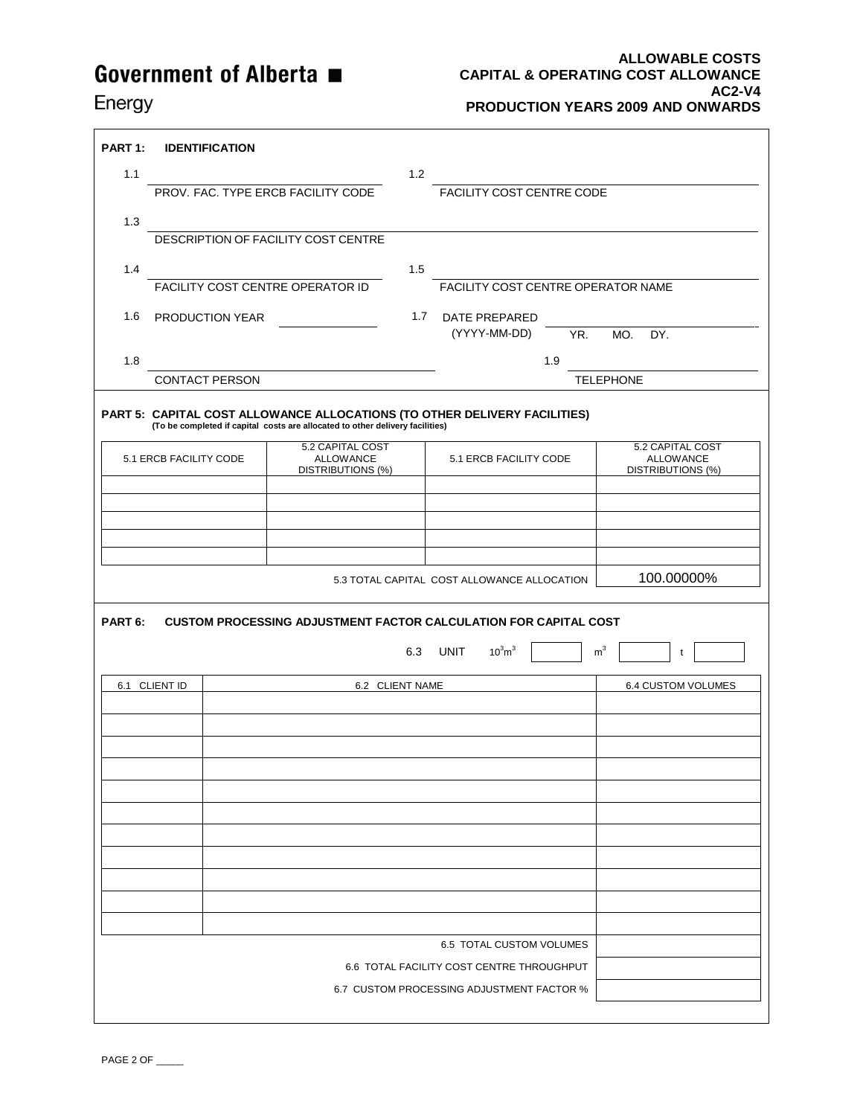#### **ALLOWABLE COSTS CAPITAL & OPERATING COST ALLOWANCE AC2-V4 PRODUCTION YEARS 2009 AND ONWARDS**

### Energy

| PART 1:                                   |                                    | <b>IDENTIFICATION</b> |                                                                                                                                                            |                 |                                             |                |                  |                                              |
|-------------------------------------------|------------------------------------|-----------------------|------------------------------------------------------------------------------------------------------------------------------------------------------------|-----------------|---------------------------------------------|----------------|------------------|----------------------------------------------|
| 1.1                                       |                                    |                       |                                                                                                                                                            | 1.2             |                                             |                |                  |                                              |
|                                           | PROV. FAC. TYPE ERCB FACILITY CODE |                       |                                                                                                                                                            |                 | FACILITY COST CENTRE CODE                   |                |                  |                                              |
| 1.3                                       |                                    |                       |                                                                                                                                                            |                 |                                             |                |                  |                                              |
|                                           |                                    |                       | DESCRIPTION OF FACILITY COST CENTRE                                                                                                                        |                 |                                             |                |                  |                                              |
| 1.4                                       |                                    |                       |                                                                                                                                                            | 1.5             |                                             |                |                  |                                              |
|                                           |                                    |                       | FACILITY COST CENTRE OPERATOR ID                                                                                                                           |                 | FACILITY COST CENTRE OPERATOR NAME          |                |                  |                                              |
| 1.6                                       |                                    | PRODUCTION YEAR       |                                                                                                                                                            | 1.7             | <b>DATE PREPARED</b>                        |                |                  |                                              |
|                                           |                                    |                       |                                                                                                                                                            |                 | (YYYY-MM-DD)                                | YR.            | MO.              | DY.                                          |
| 1.8                                       |                                    |                       |                                                                                                                                                            |                 |                                             | 1.9            |                  |                                              |
|                                           |                                    | <b>CONTACT PERSON</b> |                                                                                                                                                            |                 |                                             |                | <b>TELEPHONE</b> |                                              |
|                                           |                                    |                       |                                                                                                                                                            |                 |                                             |                |                  |                                              |
|                                           |                                    |                       | PART 5: CAPITAL COST ALLOWANCE ALLOCATIONS (TO OTHER DELIVERY FACILITIES)<br>(To be completed if capital costs are allocated to other delivery facilities) |                 |                                             |                |                  |                                              |
|                                           |                                    |                       | 5.2 CAPITAL COST                                                                                                                                           |                 |                                             |                |                  | 5.2 CAPITAL COST                             |
|                                           | 5.1 ERCB FACILITY CODE             |                       | <b>ALLOWANCE</b><br>DISTRIBUTIONS (%)                                                                                                                      |                 | 5.1 ERCB FACILITY CODE                      |                |                  | <b>ALLOWANCE</b><br><b>DISTRIBUTIONS (%)</b> |
|                                           |                                    |                       |                                                                                                                                                            |                 |                                             |                |                  |                                              |
|                                           |                                    |                       |                                                                                                                                                            |                 |                                             |                |                  |                                              |
|                                           |                                    |                       |                                                                                                                                                            |                 |                                             |                |                  |                                              |
|                                           |                                    |                       |                                                                                                                                                            |                 |                                             |                |                  |                                              |
|                                           |                                    |                       |                                                                                                                                                            |                 | 5.3 TOTAL CAPITAL COST ALLOWANCE ALLOCATION |                |                  | 100.00000%                                   |
|                                           |                                    |                       |                                                                                                                                                            |                 |                                             |                |                  |                                              |
| PART 6:                                   |                                    |                       | <b>CUSTOM PROCESSING ADJUSTMENT FACTOR CALCULATION FOR CAPITAL COST</b>                                                                                    |                 |                                             |                |                  |                                              |
|                                           |                                    |                       |                                                                                                                                                            | 6.3             | $10^3$ m $^3$<br>UNIT                       | m <sup>3</sup> |                  | t                                            |
|                                           | 6.1 CLIENT ID                      |                       |                                                                                                                                                            | 6.2 CLIENT NAME |                                             |                |                  | <b>6.4 CUSTOM VOLUMES</b>                    |
|                                           |                                    |                       |                                                                                                                                                            |                 |                                             |                |                  |                                              |
|                                           |                                    |                       |                                                                                                                                                            |                 |                                             |                |                  |                                              |
|                                           |                                    |                       |                                                                                                                                                            |                 |                                             |                |                  |                                              |
|                                           |                                    |                       |                                                                                                                                                            |                 |                                             |                |                  |                                              |
|                                           |                                    |                       |                                                                                                                                                            |                 |                                             |                |                  |                                              |
|                                           |                                    |                       |                                                                                                                                                            |                 |                                             |                |                  |                                              |
|                                           |                                    |                       |                                                                                                                                                            |                 |                                             |                |                  |                                              |
|                                           |                                    |                       |                                                                                                                                                            |                 |                                             |                |                  |                                              |
|                                           |                                    |                       |                                                                                                                                                            |                 |                                             |                |                  |                                              |
|                                           |                                    |                       |                                                                                                                                                            |                 |                                             |                |                  |                                              |
|                                           |                                    |                       |                                                                                                                                                            |                 |                                             |                |                  |                                              |
| 6.5 TOTAL CUSTOM VOLUMES                  |                                    |                       |                                                                                                                                                            |                 |                                             |                |                  |                                              |
| 6.6 TOTAL FACILITY COST CENTRE THROUGHPUT |                                    |                       |                                                                                                                                                            |                 |                                             |                |                  |                                              |
|                                           |                                    |                       |                                                                                                                                                            |                 | 6.7 CUSTOM PROCESSING ADJUSTMENT FACTOR %   |                |                  |                                              |
|                                           |                                    |                       |                                                                                                                                                            |                 |                                             |                |                  |                                              |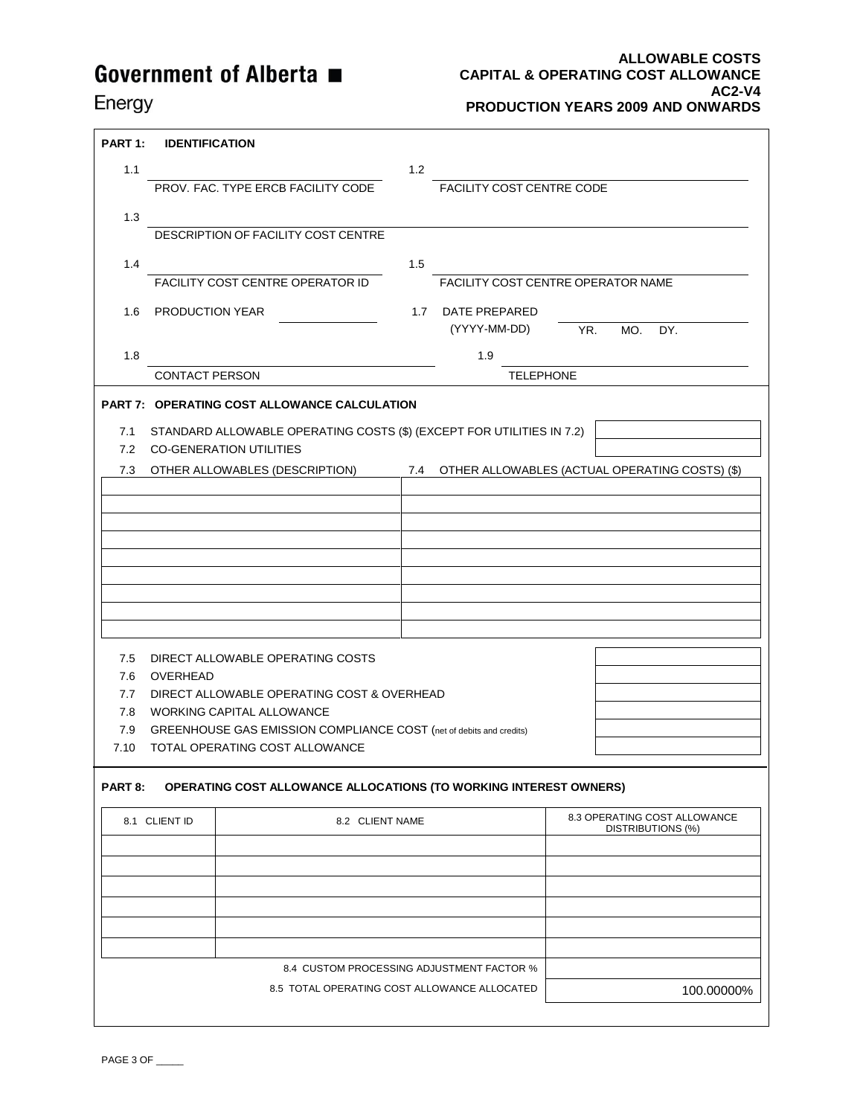#### **ALLOWABLE COSTS CAPITAL & OPERATING COST ALLOWANCE AC2-V4 PRODUCTION YEARS 2009 AND ONWARDS**

### Energy

| PART 1: | <b>IDENTIFICATION</b>                                                 |     |                                                    |                                 |     |  |
|---------|-----------------------------------------------------------------------|-----|----------------------------------------------------|---------------------------------|-----|--|
| 1.1     |                                                                       | 1.2 |                                                    |                                 |     |  |
|         | PROV. FAC. TYPE ERCB FACILITY CODE                                    |     | <b>FACILITY COST CENTRE CODE</b>                   |                                 |     |  |
| 1.3     |                                                                       |     |                                                    |                                 |     |  |
|         | DESCRIPTION OF FACILITY COST CENTRE                                   |     |                                                    |                                 |     |  |
| 1.4     |                                                                       | 1.5 |                                                    |                                 |     |  |
|         | FACILITY COST CENTRE OPERATOR ID                                      |     | FACILITY COST CENTRE OPERATOR NAME                 |                                 |     |  |
| 1.6     | <b>PRODUCTION YEAR</b>                                                |     | 1.7 DATE PREPARED<br>(YYYY-MM-DD)                  | YR.<br>MO.                      | DY. |  |
| 1.8     |                                                                       |     | 1.9                                                |                                 |     |  |
|         | <b>CONTACT PERSON</b>                                                 |     | <b>TELEPHONE</b>                                   |                                 |     |  |
|         | PART 7: OPERATING COST ALLOWANCE CALCULATION                          |     |                                                    |                                 |     |  |
| 7.1     | STANDARD ALLOWABLE OPERATING COSTS (\$) (EXCEPT FOR UTILITIES IN 7.2) |     |                                                    |                                 |     |  |
| 7.2     | <b>CO-GENERATION UTILITIES</b>                                        |     |                                                    |                                 |     |  |
|         | 7.3 OTHER ALLOWABLES (DESCRIPTION)                                    |     | 7.4 OTHER ALLOWABLES (ACTUAL OPERATING COSTS) (\$) |                                 |     |  |
|         |                                                                       |     |                                                    |                                 |     |  |
|         |                                                                       |     |                                                    |                                 |     |  |
|         |                                                                       |     |                                                    |                                 |     |  |
|         |                                                                       |     |                                                    |                                 |     |  |
|         |                                                                       |     |                                                    |                                 |     |  |
|         |                                                                       |     |                                                    |                                 |     |  |
|         |                                                                       |     |                                                    |                                 |     |  |
|         |                                                                       |     |                                                    |                                 |     |  |
| 7.5     | DIRECT ALLOWABLE OPERATING COSTS                                      |     |                                                    |                                 |     |  |
| 7.6     | <b>OVERHEAD</b>                                                       |     |                                                    |                                 |     |  |
| 7.7     | DIRECT ALLOWABLE OPERATING COST & OVERHEAD                            |     |                                                    |                                 |     |  |
| 7.8     | WORKING CAPITAL ALLOWANCE                                             |     |                                                    |                                 |     |  |
| 7.9     | GREENHOUSE GAS EMISSION COMPLIANCE COST (net of debits and credits)   |     |                                                    |                                 |     |  |
| 7.10    | TOTAL OPERATING COST ALLOWANCE                                        |     |                                                    |                                 |     |  |
| PART 8: | OPERATING COST ALLOWANCE ALLOCATIONS (TO WORKING INTEREST OWNERS)     |     |                                                    |                                 |     |  |
|         |                                                                       |     |                                                    | $0.2$ ODED ATING COOT ALLOWANCE |     |  |

| 8.2 CLIENT NAME                              | 8.3 OPERATING COST ALLOWANCE<br>DISTRIBUTIONS (%) |
|----------------------------------------------|---------------------------------------------------|
|                                              |                                                   |
|                                              |                                                   |
|                                              |                                                   |
|                                              |                                                   |
|                                              |                                                   |
|                                              |                                                   |
| 8.4 CUSTOM PROCESSING ADJUSTMENT FACTOR %    |                                                   |
| 8.5 TOTAL OPERATING COST ALLOWANCE ALLOCATED | 100.00000%                                        |
|                                              |                                                   |